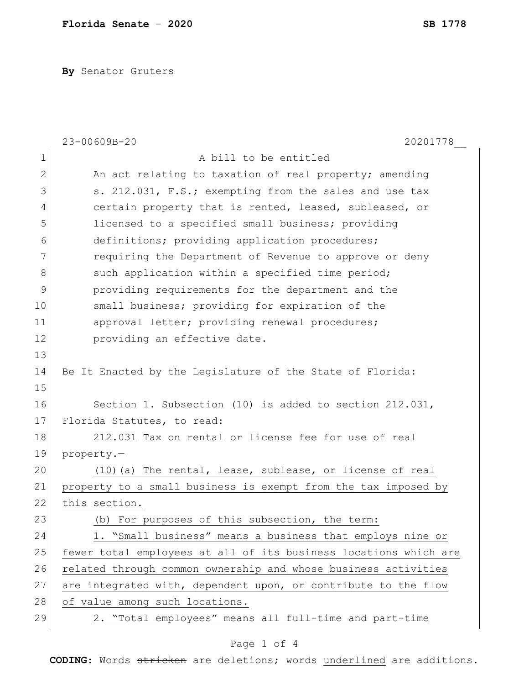**By** Senator Gruters

|                | 23-00609B-20<br>20201778                                         |
|----------------|------------------------------------------------------------------|
| $\mathbf 1$    | A bill to be entitled                                            |
| $\overline{2}$ | An act relating to taxation of real property; amending           |
| 3              | s. 212.031, F.S.; exempting from the sales and use tax           |
| 4              | certain property that is rented, leased, subleased, or           |
| 5              | licensed to a specified small business; providing                |
| 6              | definitions; providing application procedures;                   |
| 7              | requiring the Department of Revenue to approve or deny           |
| 8              | such application within a specified time period;                 |
| 9              | providing requirements for the department and the                |
| 10             | small business; providing for expiration of the                  |
| 11             | approval letter; providing renewal procedures;                   |
| 12             | providing an effective date.                                     |
| 13             |                                                                  |
| 14             | Be It Enacted by the Legislature of the State of Florida:        |
| 15             |                                                                  |
| 16             | Section 1. Subsection (10) is added to section 212.031,          |
| 17             | Florida Statutes, to read:                                       |
| 18             | 212.031 Tax on rental or license fee for use of real             |
| 19             | property.-                                                       |
| 20             | $(10)$ (a) The rental, lease, sublease, or license of real       |
| 21             | property to a small business is exempt from the tax imposed by   |
| 22             | this section.                                                    |
| 23             | (b) For purposes of this subsection, the term:                   |
| 24             | 1. "Small business" means a business that employs nine or        |
| 25             | fewer total employees at all of its business locations which are |
| 26             | related through common ownership and whose business activities   |
| 27             | are integrated with, dependent upon, or contribute to the flow   |
| 28             | of value among such locations.                                   |
| 29             | 2. "Total employees" means all full-time and part-time           |

## Page 1 of 4

**CODING**: Words stricken are deletions; words underlined are additions.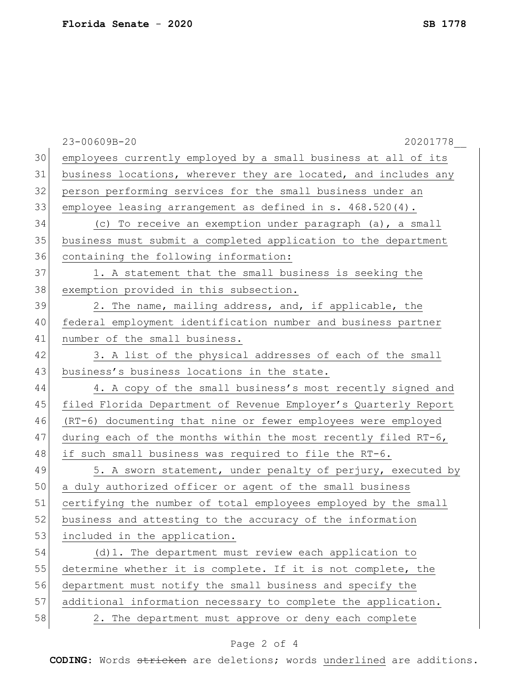|    | 23-00609B-20<br>20201778                                        |
|----|-----------------------------------------------------------------|
| 30 | employees currently employed by a small business at all of its  |
| 31 | business locations, wherever they are located, and includes any |
| 32 | person performing services for the small business under an      |
| 33 | employee leasing arrangement as defined in $s. 468.520(4)$ .    |
| 34 | (c) To receive an exemption under paragraph (a), a small        |
| 35 | business must submit a completed application to the department  |
| 36 | containing the following information:                           |
| 37 | 1. A statement that the small business is seeking the           |
| 38 | exemption provided in this subsection.                          |
| 39 | 2. The name, mailing address, and, if applicable, the           |
| 40 | federal employment identification number and business partner   |
| 41 | number of the small business.                                   |
| 42 | 3. A list of the physical addresses of each of the small        |
| 43 | business's business locations in the state.                     |
| 44 | 4. A copy of the small business's most recently signed and      |
| 45 | filed Florida Department of Revenue Employer's Quarterly Report |
| 46 | (RT-6) documenting that nine or fewer employees were employed   |
| 47 | during each of the months within the most recently filed RT-6,  |
| 48 | if such small business was required to file the RT-6.           |
| 49 | 5. A sworn statement, under penalty of perjury, executed by     |
| 50 | a duly authorized officer or agent of the small business        |
| 51 | certifying the number of total employees employed by the small  |
| 52 | business and attesting to the accuracy of the information       |
| 53 | included in the application.                                    |
| 54 | (d) 1. The department must review each application to           |
| 55 | determine whether it is complete. If it is not complete, the    |
| 56 | department must notify the small business and specify the       |
| 57 | additional information necessary to complete the application.   |
| 58 | 2. The department must approve or deny each complete            |

## Page 2 of 4

**CODING**: Words stricken are deletions; words underlined are additions.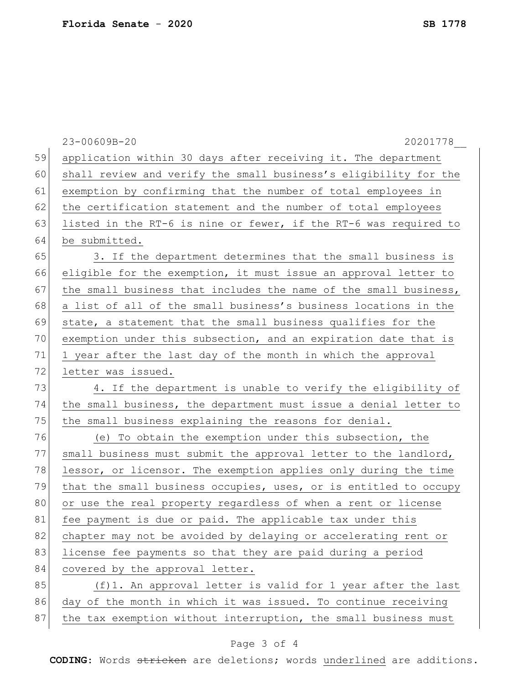| 59<br>application within 30 days after receiving it. The department    |  |
|------------------------------------------------------------------------|--|
|                                                                        |  |
| 60<br>shall review and verify the small business's eligibility for the |  |
| 61<br>exemption by confirming that the number of total employees in    |  |
| 62<br>the certification statement and the number of total employees    |  |
| 63<br>listed in the RT-6 is nine or fewer, if the RT-6 was required to |  |
| 64<br>be submitted.                                                    |  |
| 65<br>3. If the department determines that the small business is       |  |
| 66<br>eligible for the exemption, it must issue an approval letter to  |  |
| 67<br>the small business that includes the name of the small business, |  |
| 68<br>a list of all of the small business's business locations in the  |  |
| 69<br>state, a statement that the small business qualifies for the     |  |
| 70<br>exemption under this subsection, and an expiration date that is  |  |
| 71<br>1 year after the last day of the month in which the approval     |  |
| 72<br>letter was issued.                                               |  |
| 73<br>4. If the department is unable to verify the eligibility of      |  |
| 74<br>the small business, the department must issue a denial letter to |  |
| 75<br>the small business explaining the reasons for denial.            |  |
| 76<br>(e) To obtain the exemption under this subsection, the           |  |
| 77<br>small business must submit the approval letter to the landlord,  |  |
| 78<br>lessor, or licensor. The exemption applies only during the time  |  |
| 79<br>that the small business occupies, uses, or is entitled to occupy |  |
| 80<br>or use the real property regardless of when a rent or license    |  |
| 81<br>fee payment is due or paid. The applicable tax under this        |  |
| 82<br>chapter may not be avoided by delaying or accelerating rent or   |  |
| 83<br>license fee payments so that they are paid during a period       |  |
| 84<br>covered by the approval letter.                                  |  |
| 85<br>(f)1. An approval letter is valid for 1 year after the last      |  |
| 86<br>day of the month in which it was issued. To continue receiving   |  |
| 87<br>the tax exemption without interruption, the small business must  |  |

## Page 3 of 4

**CODING**: Words stricken are deletions; words underlined are additions.